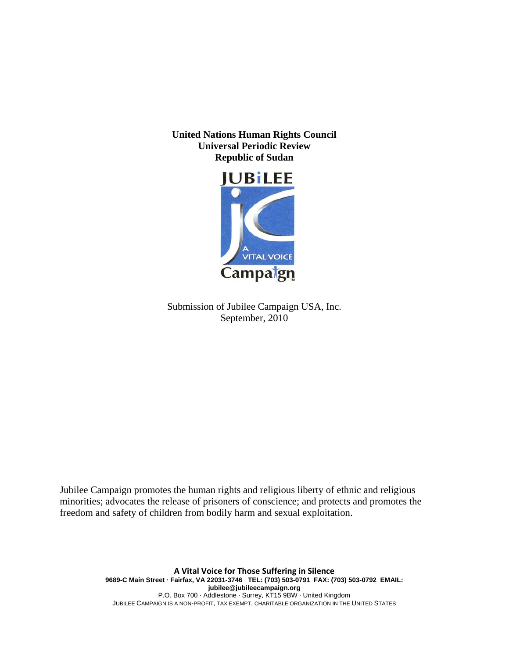**United Nations Human Rights Council Universal Periodic Review Republic of Sudan** 



Submission of Jubilee Campaign USA, Inc. September, 2010

Jubilee Campaign promotes the human rights and religious liberty of ethnic and religious minorities; advocates the release of prisoners of conscience; and protects and promotes the freedom and safety of children from bodily harm and sexual exploitation.

> **A Vital Voice for Those Suffering in Silence 9689-C Main Street · Fairfax, VA 22031-3746 TEL: (703) 503-0791 FAX: (703) 503-0792 EMAIL: jubilee@jubileecampaign.org** P.O. Box 700 · Addlestone · Surrey, KT15 9BW · United Kingdom JUBILEE CAMPAIGN IS A NON-PROFIT, TAX EXEMPT, CHARITABLE ORGANIZATION IN THE UNITED STATES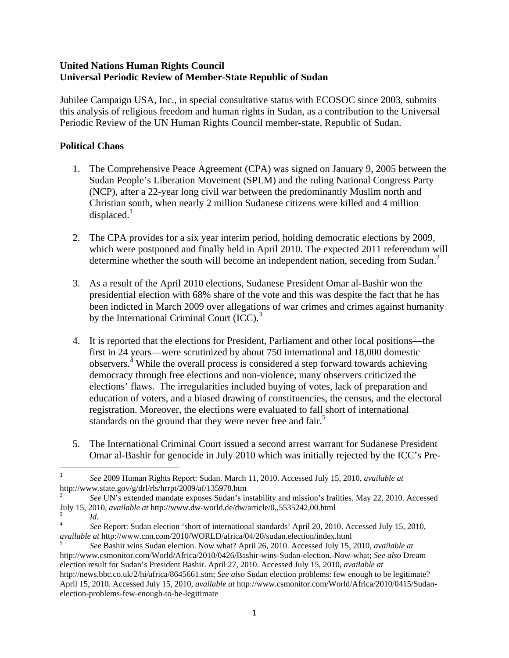#### **United Nations Human Rights Council Universal Periodic Review of Member-State Republic of Sudan**

Jubilee Campaign USA, Inc., in special consultative status with ECOSOC since 2003, submits this analysis of religious freedom and human rights in Sudan, as a contribution to the Universal Periodic Review of the UN Human Rights Council member-state, Republic of Sudan.

## **Political Chaos**

- 1. The Comprehensive Peace Agreement (CPA) was signed on January 9, 2005 between the Sudan People's Liberation Movement (SPLM) and the ruling National Congress Party (NCP), after a 22-year long civil war between the predominantly Muslim north and Christian south, when nearly 2 million Sudanese citizens were killed and 4 million  $displaced<sup>1</sup>$
- 2. The CPA provides for a six year interim period, holding democratic elections by 2009, which were postponed and finally held in April 2010. The expected 2011 referendum will determine whether the south will become an independent nation, seceding from Sudan.<sup>2</sup>
- 3. As a result of the April 2010 elections, Sudanese President Omar al-Bashir won the presidential election with 68% share of the vote and this was despite the fact that he has been indicted in March 2009 over allegations of war crimes and crimes against humanity by the International Criminal Court  $(ICC)<sup>3</sup>$
- 4. It is reported that the elections for President, Parliament and other local positions—the first in 24 years—were scrutinized by about 750 international and 18,000 domestic observers.<sup>4</sup> While the overall process is considered a step forward towards achieving democracy through free elections and non-violence, many observers criticized the elections' flaws. The irregularities included buying of votes, lack of preparation and education of voters, and a biased drawing of constituencies, the census, and the electoral registration. Moreover, the elections were evaluated to fall short of international standards on the ground that they were never free and fair.<sup>5</sup>
- 5. The International Criminal Court issued a second arrest warrant for Sudanese President Omar al-Bashir for genocide in July 2010 which was initially rejected by the ICC's Pre-

<sup>1</sup> *See* 2009 Human Rights Report: Sudan. March 11, 2010. Accessed July 15, 2010, *available at* http://www.state.gov/g/drl/rls/hrrpt/2009/af/135978.htm 2

*See* UN's extended mandate exposes Sudan's instability and mission's frailties. May 22, 2010. Accessed July 15, 2010, *available at* http://www.dw-world.de/dw/article/0,,5535242,00.html 3 *Id.* 

<sup>4</sup> *See* Report: Sudan election 'short of international standards' April 20, 2010. Accessed July 15, 2010, *available at* http://www.cnn.com/2010/WORLD/africa/04/20/sudan.election/index.html 5

*See* Bashir wins Sudan election. Now what? April 26, 2010. Accessed July 15, 2010, *available at*  http://www.csmonitor.com/World/Africa/2010/0426/Bashir-wins-Sudan-election.-Now-what; *See also* Dream election result for Sudan's President Bashir. April 27, 2010. Accessed July 15, 2010, *available at* http://news.bbc.co.uk/2/hi/africa/8645661.stm; *See also* Sudan election problems: few enough to be legitimate? April 15, 2010. Accessed July 15, 2010, *available at* http://www.csmonitor.com/World/Africa/2010/0415/Sudanelection-problems-few-enough-to-be-legitimate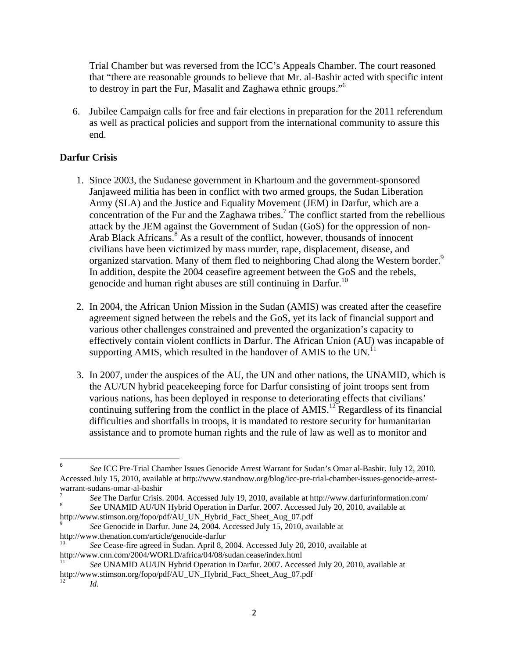Trial Chamber but was reversed from the ICC's Appeals Chamber. The court reasoned that "there are reasonable grounds to believe that Mr. al-Bashir acted with specific intent to destroy in part the Fur, Masalit and Zaghawa ethnic groups."6

6. Jubilee Campaign calls for free and fair elections in preparation for the 2011 referendum as well as practical policies and support from the international community to assure this end.

# **Darfur Crisis**

- 1. Since 2003, the Sudanese government in Khartoum and the government-sponsored Janjaweed militia has been in conflict with two armed groups, the Sudan Liberation Army (SLA) and the Justice and Equality Movement (JEM) in Darfur, which are a concentration of the Fur and the Zaghawa tribes.<sup>7</sup> The conflict started from the rebellious attack by the JEM against the Government of Sudan (GoS) for the oppression of non-Arab Black Africans.<sup>8</sup> As a result of the conflict, however, thousands of innocent civilians have been victimized by mass murder, rape, displacement, disease, and organized starvation. Many of them fled to neighboring Chad along the Western border.<sup>9</sup> In addition, despite the 2004 ceasefire agreement between the GoS and the rebels, genocide and human right abuses are still continuing in Darfur.<sup>10</sup>
- 2. In 2004, the African Union Mission in the Sudan (AMIS) was created after the ceasefire agreement signed between the rebels and the GoS, yet its lack of financial support and various other challenges constrained and prevented the organization's capacity to effectively contain violent conflicts in Darfur. The African Union (AU) was incapable of supporting AMIS, which resulted in the handover of AMIS to the UN. $^{11}$
- 3. In 2007, under the auspices of the AU, the UN and other nations, the UNAMID, which is the AU/UN hybrid peacekeeping force for Darfur consisting of joint troops sent from various nations, has been deployed in response to deteriorating effects that civilians' continuing suffering from the conflict in the place of AMIS.<sup>12</sup> Regardless of its financial difficulties and shortfalls in troops, it is mandated to restore security for humanitarian assistance and to promote human rights and the rule of law as well as to monitor and

http://www.stimson.org/fopo/pdf/AU\_UN\_Hybrid\_Fact\_Sheet\_Aug\_07.pdf

<sup>6</sup> *See* ICC Pre-Trial Chamber Issues Genocide Arrest Warrant for Sudan's Omar al-Bashir. July 12, 2010. Accessed July 15, 2010, available at http://www.standnow.org/blog/icc-pre-trial-chamber-issues-genocide-arrestwarrant-sudans-omar-al-bashir

<sup>7</sup> *See* The Darfur Crisis. 2004. Accessed July 19, 2010, available at http://www.darfurinformation.com/ 8 *See* UNAMID AU/UN Hybrid Operation in Darfur. 2007. Accessed July 20, 2010, available at

<sup>9</sup> *See* Genocide in Darfur. June 24, 2004. Accessed July 15, 2010, available at http://www.thenation.com/article/genocide-darfur

<sup>10</sup> *See* Cease-fire agreed in Sudan. April 8, 2004. Accessed July 20, 2010, available at

http://www.cnn.com/2004/WORLD/africa/04/08/sudan.cease/index.html 11 *See* UNAMID AU/UN Hybrid Operation in Darfur. 2007. Accessed July 20, 2010, available at http://www.stimson.org/fopo/pdf/AU\_UN\_Hybrid\_Fact\_Sheet\_Aug\_07.pdf

<sup>12</sup> *Id.*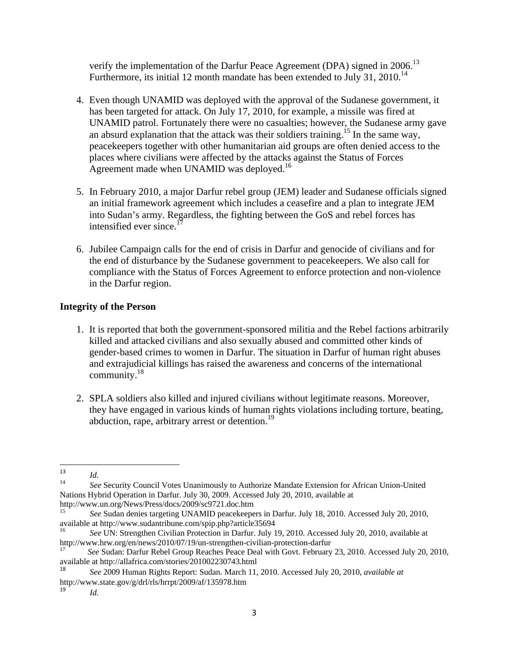verify the implementation of the Darfur Peace Agreement (DPA) signed in 2006.<sup>13</sup> Furthermore, its initial 12 month mandate has been extended to July 31, 2010.<sup>14</sup>

- 4. Even though UNAMID was deployed with the approval of the Sudanese government, it has been targeted for attack. On July 17, 2010, for example, a missile was fired at UNAMID patrol. Fortunately there were no casualties; however, the Sudanese army gave an absurd explanation that the attack was their soldiers training.15 In the same way, peacekeepers together with other humanitarian aid groups are often denied access to the places where civilians were affected by the attacks against the Status of Forces Agreement made when UNAMID was deployed.<sup>16</sup>
- 5. In February 2010, a major Darfur rebel group (JEM) leader and Sudanese officials signed an initial framework agreement which includes a ceasefire and a plan to integrate JEM into Sudan's army. Regardless, the fighting between the GoS and rebel forces has intensified ever since. $17$
- 6. Jubilee Campaign calls for the end of crisis in Darfur and genocide of civilians and for the end of disturbance by the Sudanese government to peacekeepers. We also call for compliance with the Status of Forces Agreement to enforce protection and non-violence in the Darfur region.

### **Integrity of the Person**

- 1. It is reported that both the government-sponsored militia and the Rebel factions arbitrarily killed and attacked civilians and also sexually abused and committed other kinds of gender-based crimes to women in Darfur. The situation in Darfur of human right abuses and extrajudicial killings has raised the awareness and concerns of the international community.18
- 2. SPLA soldiers also killed and injured civilians without legitimate reasons. Moreover, they have engaged in various kinds of human rights violations including torture, beating, abduction, rape, arbitrary arrest or detention.<sup>19</sup>

<sup>13</sup> *Id.*<br><sup>14</sup> *See* Security Council Votes Unanimously to Authorize Mandate Extension for African Union-United Nations Hybrid Operation in Darfur. July 30, 2009. Accessed July 20, 2010, available at http://www.un.org/News/Press/docs/2009/sc9721.doc.htm

<sup>15</sup> *See* Sudan denies targeting UNAMID peacekeepers in Darfur. July 18, 2010. Accessed July 20, 2010,

available at http://www.sudantribune.com/spip.php?article35694<br>
<sup>16</sup> *See* UN: Strengthen Civilian Protection in Darfur. July 19, 2010. Accessed July 20, 2010, available at<br>
http://www.hrw.org/en/news/2010/07/19/un-strengt

See Sudan: Darfur Rebel Group Reaches Peace Deal with Govt. February 23, 2010. Accessed July 20, 2010, available at http://allafrica.com/stories/201002230743.html

<sup>18</sup> *See* 2009 Human Rights Report: Sudan. March 11, 2010. Accessed July 20, 2010, *available at* http://www.state.gov/g/drl/rls/hrrpt/2009/af/135978.htm

<sup>19</sup> *Id.*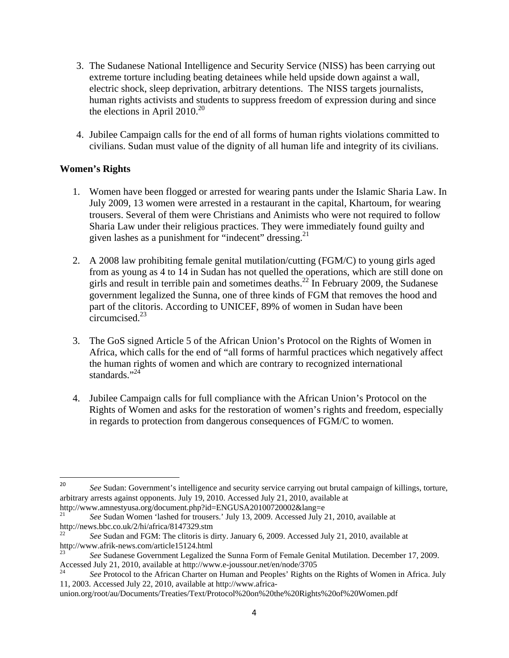- 3. The Sudanese National Intelligence and Security Service (NISS) has been carrying out extreme torture including beating detainees while held upside down against a wall, electric shock, sleep deprivation, arbitrary detentions. The NISS targets journalists, human rights activists and students to suppress freedom of expression during and since the elections in April  $2010^{20}$
- 4. Jubilee Campaign calls for the end of all forms of human rights violations committed to civilians. Sudan must value of the dignity of all human life and integrity of its civilians.

#### **Women's Rights**

- 1. Women have been flogged or arrested for wearing pants under the Islamic Sharia Law. In July 2009, 13 women were arrested in a restaurant in the capital, Khartoum, for wearing trousers. Several of them were Christians and Animists who were not required to follow Sharia Law under their religious practices. They were immediately found guilty and given lashes as a punishment for "indecent" dressing.<sup>21</sup>
- 2. A 2008 law prohibiting female genital mutilation/cutting (FGM/C) to young girls aged from as young as 4 to 14 in Sudan has not quelled the operations, which are still done on girls and result in terrible pain and sometimes deaths.<sup>22</sup> In February 2009, the Sudanese government legalized the Sunna, one of three kinds of FGM that removes the hood and part of the clitoris. According to UNICEF, 89% of women in Sudan have been  $circumcised.<sup>23</sup>$
- 3. The GoS signed Article 5 of the African Union's Protocol on the Rights of Women in Africa, which calls for the end of "all forms of harmful practices which negatively affect the human rights of women and which are contrary to recognized international standards." $^{24}$
- 4. Jubilee Campaign calls for full compliance with the African Union's Protocol on the Rights of Women and asks for the restoration of women's rights and freedom, especially in regards to protection from dangerous consequences of FGM/C to women.

<sup>&</sup>lt;sup>20</sup> See Sudan: Government's intelligence and security service carrying out brutal campaign of killings, torture, arbitrary arrests against opponents. July 19, 2010. Accessed July 21, 2010, available at

http://www.amnestyusa.org/document.php?id=ENGUSA20100720002&lang=e 21 *See* Sudan Women 'lashed for trousers.' July 13, 2009. Accessed July 21, 2010, available at

http://news.bbc.co.uk/2/hi/africa/8147329.stm<br><sup>22</sup> *See* Sudan and FGM: The clitoris is dirty. January 6, 2009. Accessed July 21, 2010, available at http://www.afrik-news.com/article15124.html

<sup>23</sup> *See* Sudanese Government Legalized the Sunna Form of Female Genital Mutilation. December 17, 2009. Accessed July 21, 2010, available at http://www.e-joussour.net/en/node/3705

<sup>24</sup> *See* Protocol to the African Charter on Human and Peoples' Rights on the Rights of Women in Africa. July 11, 2003. Accessed July 22, 2010, available at http://www.africa-

union.org/root/au/Documents/Treaties/Text/Protocol%20on%20the%20Rights%20of%20Women.pdf